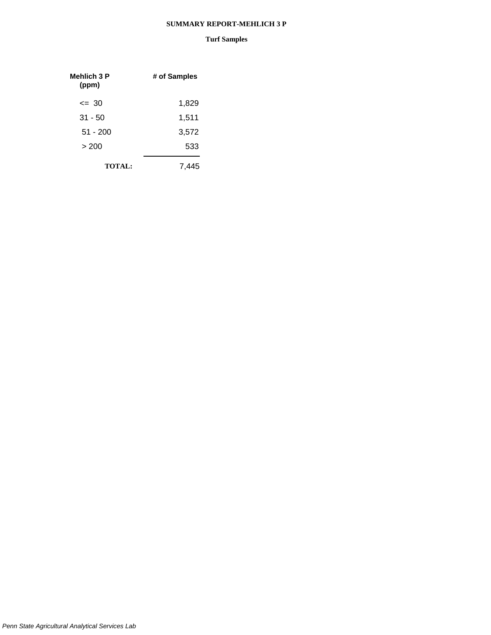#### **SUMMARY REPORT-MEHLICH 3 P**

| Mehlich 3 P<br>(ppm) | # of Samples |
|----------------------|--------------|
| $\leq$ 30            | 1,829        |
| $31 - 50$            | 1,511        |
| $51 - 200$           | 3,572        |
| > 200                | 533          |
| <b>TOTAL:</b>        | 7.4          |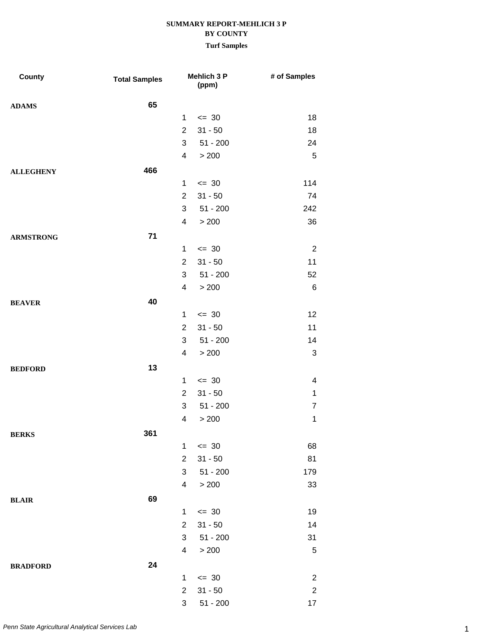| County           | <b>Total Samples</b> |                | <b>Mehlich 3 P</b><br>(ppm) | # of Samples   |
|------------------|----------------------|----------------|-----------------------------|----------------|
| <b>ADAMS</b>     | 65                   |                |                             |                |
|                  |                      | 1              | $\leq$ 30                   | 18             |
|                  |                      | $\overline{2}$ | $31 - 50$                   | 18             |
|                  |                      | 3              | $51 - 200$                  | 24             |
|                  |                      | $\overline{4}$ | > 200                       | $\mathbf 5$    |
| <b>ALLEGHENY</b> | 466                  |                |                             |                |
|                  |                      | $\mathbf{1}$   | $\leq$ 30                   | 114            |
|                  |                      | $\overline{2}$ | $31 - 50$                   | 74             |
|                  |                      | 3              | $51 - 200$                  | 242            |
|                  |                      | 4              | > 200                       | 36             |
| <b>ARMSTRONG</b> | 71                   |                |                             |                |
|                  |                      | $\mathbf 1$    | $\leq$ 30                   | $\overline{2}$ |
|                  |                      | $\overline{2}$ | $31 - 50$                   | 11             |
|                  |                      | 3              | $51 - 200$                  | 52             |
|                  |                      | $\overline{4}$ | > 200                       | $\,6$          |
| <b>BEAVER</b>    | 40                   |                |                             |                |
|                  |                      | $\mathbf{1}$   | $\leq$ 30                   | 12             |
|                  |                      | $\overline{2}$ | $31 - 50$                   | 11             |
|                  |                      | 3              | $51 - 200$                  | 14             |
|                  |                      | 4              | > 200                       | 3              |
| <b>BEDFORD</b>   | 13                   |                |                             |                |
|                  |                      | $\mathbf{1}$   | $\leq$ 30                   | 4              |
|                  |                      | $\overline{2}$ | $31 - 50$                   | $\mathbf 1$    |
|                  |                      | 3              | $51 - 200$                  | $\overline{7}$ |
|                  |                      | 4              | > 200                       | $\mathbf 1$    |
| <b>BERKS</b>     | 361                  |                |                             |                |
|                  |                      | 1              | $\leq$ 30                   | 68             |
|                  |                      | $\overline{2}$ | $31 - 50$                   | 81             |
|                  |                      | 3              | $51 - 200$                  | 179            |
|                  |                      | $\overline{4}$ | > 200                       | 33             |
| <b>BLAIR</b>     | 69                   |                |                             |                |
|                  |                      | $\mathbf{1}$   | $\leq$ 30                   | 19             |
|                  |                      | $\overline{2}$ | $31 - 50$                   | 14             |
|                  |                      | $\mathbf{3}$   | $51 - 200$                  | 31             |
|                  |                      | $\overline{4}$ | > 200                       | $\sqrt{5}$     |
| <b>BRADFORD</b>  | 24                   |                |                             |                |
|                  |                      | $\mathbf{1}$   | $\leq$ 30                   | $\sqrt{2}$     |
|                  |                      | $\overline{2}$ | $31 - 50$                   | $\overline{c}$ |
|                  |                      | $\mathfrak{S}$ | $51 - 200$                  | 17             |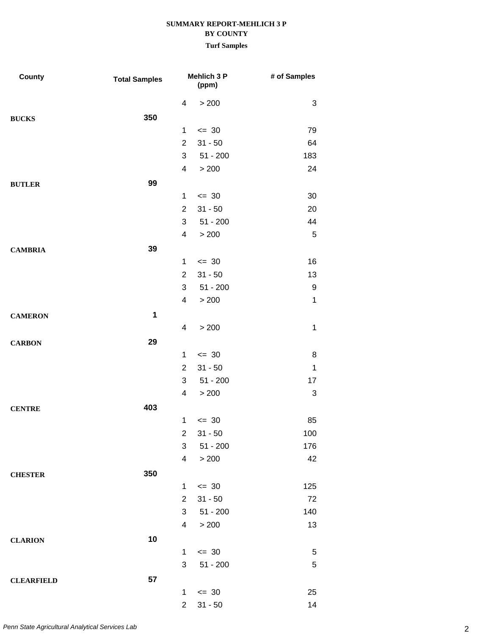| County            | <b>Total Samples</b> |                         | Mehlich 3 P<br>(ppm) | # of Samples |
|-------------------|----------------------|-------------------------|----------------------|--------------|
|                   |                      | 4                       | > 200                | 3            |
| <b>BUCKS</b>      | 350                  |                         |                      |              |
|                   |                      | $\mathbf 1$             | $= 30$               | 79           |
|                   |                      | $\overline{2}$          | $31 - 50$            | 64           |
|                   |                      | 3                       | $51 - 200$           | 183          |
|                   |                      | 4                       | > 200                | 24           |
| <b>BUTLER</b>     | 99                   |                         |                      |              |
|                   |                      | $\mathbf 1$             | $\leq$ 30            | 30           |
|                   |                      | $\overline{2}$          | $31 - 50$            | 20           |
|                   |                      | 3                       | $51 - 200$           | 44           |
|                   |                      | 4                       | > 200                | $\sqrt{5}$   |
| <b>CAMBRIA</b>    | 39                   |                         |                      |              |
|                   |                      | $\mathbf 1$             | $\leq$ 30            | 16           |
|                   |                      | $\overline{2}$          | $31 - 50$            | 13           |
|                   |                      | 3                       | $51 - 200$           | 9            |
|                   |                      | 4                       | > 200                | $\mathbf 1$  |
| <b>CAMERON</b>    | 1                    |                         |                      |              |
|                   |                      | 4                       | > 200                | $\mathbf 1$  |
| <b>CARBON</b>     | 29                   |                         |                      |              |
|                   |                      | $\mathbf{1}$            | $\leq$ 30            | 8            |
|                   |                      | $\overline{2}$          | $31 - 50$            | $\mathbf 1$  |
|                   |                      | 3                       | $51 - 200$           | 17           |
|                   |                      | 4                       | > 200                | 3            |
| <b>CENTRE</b>     | 403                  |                         |                      |              |
|                   |                      | $\mathbf 1$             | $\leq$ 30            | 85           |
|                   |                      | 2                       | $31 - 50$            | 100          |
|                   |                      | 3                       | $51 - 200$           | 176          |
|                   |                      | $\overline{\mathbf{4}}$ | $>200$               | 42           |
| <b>CHESTER</b>    | 350                  |                         |                      |              |
|                   |                      | 1                       | $\leq$ 30            | 125          |
|                   |                      | $\overline{2}$          | $31 - 50$            | 72           |
|                   |                      | 3                       | $51 - 200$           | 140          |
|                   |                      | 4                       | > 200                | 13           |
| <b>CLARION</b>    | 10                   |                         |                      |              |
|                   |                      | $\mathbf 1$             | $\leq$ 30            | $\sqrt{5}$   |
|                   |                      | 3                       | $51 - 200$           | $\,$ 5 $\,$  |
| <b>CLEARFIELD</b> | 57                   |                         |                      |              |
|                   |                      | $\mathbf 1$             | $\leq$ 30            | 25           |
|                   |                      | $\overline{2}$          | $31 - 50$            | 14           |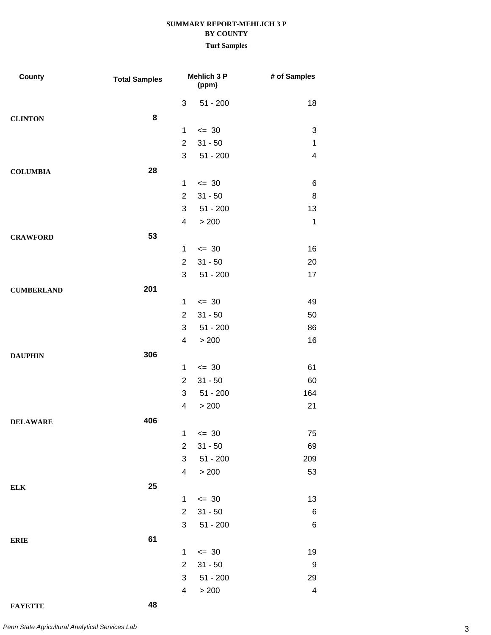| County            | <b>Total Samples</b> |                          | Mehlich 3 P<br>(ppm) | # of Samples            |
|-------------------|----------------------|--------------------------|----------------------|-------------------------|
|                   |                      | $\mathfrak{S}$           | $51 - 200$           | 18                      |
| <b>CLINTON</b>    | 8                    |                          |                      |                         |
|                   |                      | $\mathbf{1}$             | $= 30$               | 3                       |
|                   |                      | $\overline{2}$           | $31 - 50$            | 1                       |
|                   |                      | 3                        | $51 - 200$           | 4                       |
| <b>COLUMBIA</b>   | 28                   |                          |                      |                         |
|                   |                      | $\mathbf{1}$             | $\leq$ 30            | 6                       |
|                   |                      | $\overline{2}$           | $31 - 50$            | 8                       |
|                   |                      | 3                        | $51 - 200$           | 13                      |
|                   |                      | $\overline{\mathcal{A}}$ | > 200                | $\mathbf 1$             |
| <b>CRAWFORD</b>   | 53                   |                          |                      |                         |
|                   |                      | $\mathbf{1}$             | $\leq$ 30            | 16                      |
|                   |                      | $\overline{2}$           | $31 - 50$            | 20                      |
|                   |                      | 3                        | $51 - 200$           | 17                      |
| <b>CUMBERLAND</b> | 201                  |                          |                      |                         |
|                   |                      | $\mathbf{1}$             | $\leq$ 30            | 49                      |
|                   |                      | $\overline{2}$           | $31 - 50$            | 50                      |
|                   |                      | 3                        | $51 - 200$           | 86                      |
|                   |                      | $\overline{\mathcal{A}}$ | > 200                | 16                      |
| <b>DAUPHIN</b>    | 306                  |                          |                      |                         |
|                   |                      | $\mathbf{1}$             | $\leq$ 30            | 61                      |
|                   |                      | $\overline{2}$           | $31 - 50$            | 60                      |
|                   |                      | 3                        | $51 - 200$           | 164                     |
|                   |                      | $\overline{\mathcal{A}}$ | > 200                | 21                      |
| <b>DELAWARE</b>   | 406                  |                          |                      |                         |
|                   |                      | 1                        | $\leq$ 30            | 75                      |
|                   |                      | $\overline{2}$           | $31 - 50$            | 69                      |
|                   |                      | 3                        | $51 - 200$           | 209                     |
|                   |                      | 4                        | > 200                | 53                      |
| ${\bf ELK}$       | 25                   |                          |                      |                         |
|                   |                      | $\mathbf{1}$             | $\leq$ 30            | 13                      |
|                   |                      | $\overline{2}$           | $31 - 50$            | 6                       |
|                   |                      | 3                        | $51 - 200$           | 6                       |
| <b>ERIE</b>       | 61                   |                          |                      |                         |
|                   |                      | $\mathbf{1}$             | $\leq$ 30            | 19                      |
|                   |                      | $\overline{2}$           | $31 - 50$            | 9                       |
|                   |                      | 3                        | $51 - 200$           | 29                      |
|                   |                      | $\overline{\mathbf{4}}$  | > 200                | $\overline{\mathbf{4}}$ |
| <b>FAYETTE</b>    | 48                   |                          |                      |                         |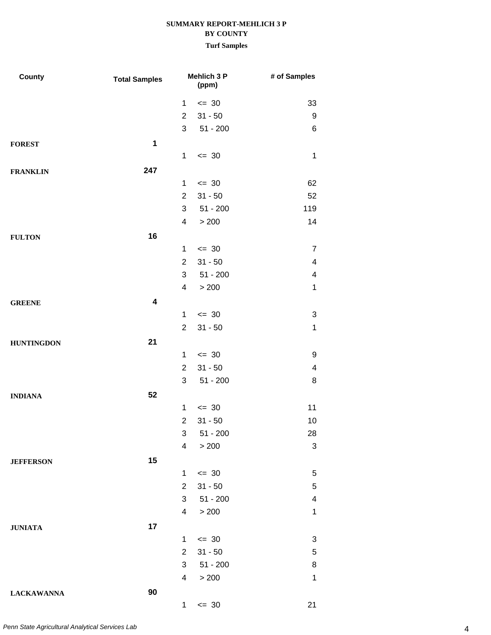| County            | <b>Total Samples</b>    |                         | Mehlich 3 P<br>(ppm) | # of Samples             |
|-------------------|-------------------------|-------------------------|----------------------|--------------------------|
|                   |                         | $\mathbf{1}$            | $= 30$               | 33                       |
|                   |                         | $\overline{2}$          | $31 - 50$            | 9                        |
|                   |                         | 3                       | $51 - 200$           | 6                        |
| <b>FOREST</b>     | $\mathbf 1$             |                         |                      |                          |
|                   |                         | $\mathbf{1}$            | $\leq$ 30            | $\mathbf 1$              |
| <b>FRANKLIN</b>   | 247                     |                         |                      |                          |
|                   |                         | $\mathbf{1}$            | $\leq$ 30            | 62                       |
|                   |                         | $\overline{2}$          | $31 - 50$            | 52                       |
|                   |                         | 3                       | $51 - 200$           | 119                      |
|                   |                         | 4                       | > 200                | 14                       |
| <b>FULTON</b>     | 16                      |                         |                      |                          |
|                   |                         | $\mathbf{1}$            | $\leq$ 30            | 7                        |
|                   |                         | $\overline{2}$          | $31 - 50$            | $\overline{\mathcal{A}}$ |
|                   |                         | 3                       | $51 - 200$           | 4                        |
|                   |                         | 4                       | > 200                | 1                        |
| <b>GREENE</b>     | $\overline{\mathbf{4}}$ |                         |                      |                          |
|                   |                         | $\mathbf{1}$            | $\leq$ 30            | 3                        |
|                   |                         | $\overline{2}$          | $31 - 50$            | 1                        |
| <b>HUNTINGDON</b> | 21                      |                         |                      |                          |
|                   |                         | $\mathbf{1}$            | $\leq$ 30            | 9                        |
|                   |                         | $\overline{2}$          | $31 - 50$            | $\overline{\mathcal{A}}$ |
|                   |                         | 3                       | $51 - 200$           | 8                        |
| <b>INDIANA</b>    | 52                      |                         |                      |                          |
|                   |                         | $\mathbf 1$             | $\leq$ 30            | 11                       |
|                   |                         | $\overline{2}$          | $31 - 50$            | 10                       |
|                   |                         | 3                       | $51 - 200$           | 28                       |
|                   |                         | $\overline{\mathbf{4}}$ | > 200                | $\sqrt{3}$               |
| <b>JEFFERSON</b>  | 15                      |                         |                      |                          |
|                   |                         | $\mathbf{1}$            | $\leq$ 30            | $\,$ 5 $\,$              |
|                   |                         | $\overline{2}$          | $31 - 50$            | $\,$ 5 $\,$              |
|                   |                         | 3                       | $51 - 200$           | $\overline{\mathbf{4}}$  |
|                   |                         | 4                       | > 200                | 1                        |
| <b>JUNIATA</b>    | 17                      |                         |                      |                          |
|                   |                         | $\mathbf{1}$            | $= 30$               | 3                        |
|                   |                         | $\overline{2}$          | $31 - 50$            | $\,$ 5 $\,$              |
|                   |                         | 3                       | $51 - 200$           | 8                        |
|                   |                         | 4                       | > 200                | 1                        |
| <b>LACKAWANNA</b> | 90                      |                         |                      |                          |
|                   |                         | $\mathbf{1}$            | $= 30$               | 21                       |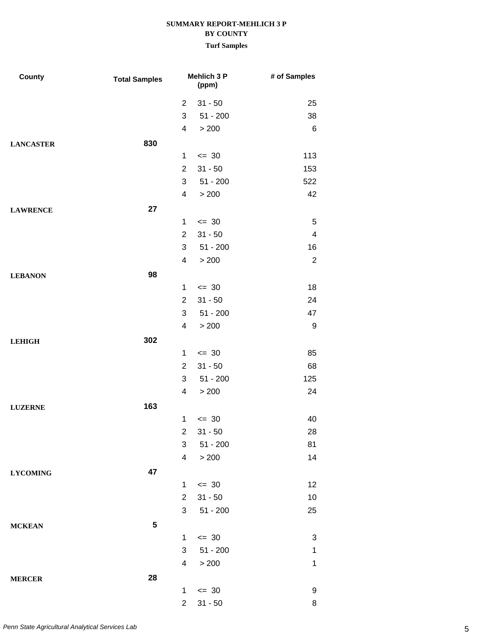| County           | <b>Total Samples</b> |                         | Mehlich 3 P<br>(ppm) | # of Samples              |
|------------------|----------------------|-------------------------|----------------------|---------------------------|
|                  |                      | $\overline{2}$          | $31 - 50$            | 25                        |
|                  |                      | 3                       | $51 - 200$           | 38                        |
|                  |                      | 4                       | > 200                | $\,6$                     |
| <b>LANCASTER</b> | 830                  |                         |                      |                           |
|                  |                      | $\mathbf{1}$            | $= 30$               | 113                       |
|                  |                      | $\overline{2}$          | $31 - 50$            | 153                       |
|                  |                      | 3                       | $51 - 200$           | 522                       |
|                  |                      | 4                       | > 200                | 42                        |
| <b>LAWRENCE</b>  | 27                   |                         |                      |                           |
|                  |                      | 1                       | $\leq$ 30            | 5                         |
|                  |                      | $\overline{2}$          | $31 - 50$            | $\overline{\mathbf{4}}$   |
|                  |                      | 3                       | $51 - 200$           | 16                        |
|                  |                      | 4                       | > 200                | $\overline{2}$            |
| <b>LEBANON</b>   | 98                   |                         |                      |                           |
|                  |                      | $\mathbf{1}$            | $\leq$ 30            | 18                        |
|                  |                      | $\overline{2}$          | $31 - 50$            | 24                        |
|                  |                      | 3                       | $51 - 200$           | 47                        |
|                  |                      | 4                       | > 200                | 9                         |
| <b>LEHIGH</b>    | 302                  |                         |                      |                           |
|                  |                      | $\mathbf{1}$            | $\leq$ 30            | 85                        |
|                  |                      | $\overline{2}$          | $31 - 50$            | 68                        |
|                  |                      | 3                       | $51 - 200$           | 125                       |
|                  |                      | 4                       | > 200                | 24                        |
| <b>LUZERNE</b>   | 163                  |                         |                      |                           |
|                  |                      | 1                       | $= 30$               | 40                        |
|                  |                      | $\overline{a}$          | $31 - 50$            | 28                        |
|                  |                      | 3                       | $51 - 200$           | 81                        |
|                  |                      | 4                       | > 200                | 14                        |
| <b>LYCOMING</b>  | 47                   |                         |                      |                           |
|                  |                      | $\mathbf{1}$            | $\leq$ 30            | 12                        |
|                  |                      | $\overline{2}$          | $31 - 50$            | 10                        |
|                  |                      | 3                       | $51 - 200$           | 25                        |
| <b>MCKEAN</b>    | 5                    |                         |                      |                           |
|                  |                      | $\mathbf{1}$            | $\leq$ 30            | $\ensuremath{\mathsf{3}}$ |
|                  |                      | 3                       | $51 - 200$           | $\mathbf{1}$              |
|                  |                      | $\overline{\mathbf{4}}$ | $>200\,$             | $\mathbf{1}$              |
| <b>MERCER</b>    | 28                   |                         |                      |                           |
|                  |                      | $\mathbf{1}$            | $\leq$ 30            | 9                         |
|                  |                      | $\overline{2}$          | $31 - 50$            | 8                         |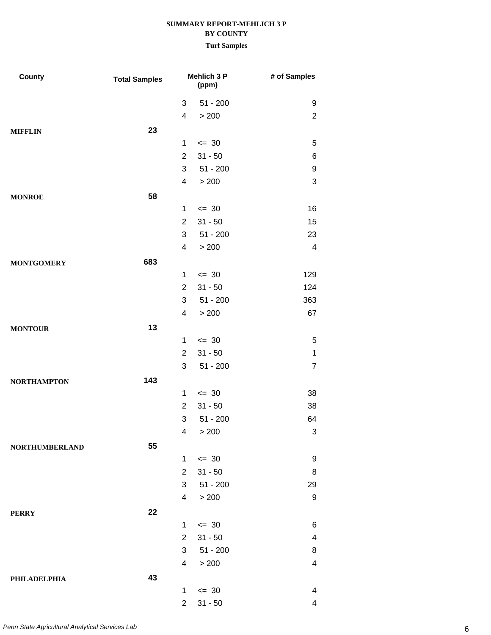| County                | <b>Total Samples</b> |                | <b>Mehlich 3 P</b><br>(ppm) | # of Samples            |
|-----------------------|----------------------|----------------|-----------------------------|-------------------------|
|                       |                      | 3              | $51 - 200$                  | 9                       |
|                       |                      | 4              | > 200                       | $\overline{2}$          |
| <b>MIFFLIN</b>        | 23                   |                |                             |                         |
|                       |                      | $\mathbf{1}$   | $\leq$ 30                   | 5                       |
|                       |                      | $\overline{2}$ | $31 - 50$                   | 6                       |
|                       |                      | 3              | $51 - 200$                  | 9                       |
|                       |                      | $\overline{4}$ | > 200                       | 3                       |
| <b>MONROE</b>         | 58                   |                |                             |                         |
|                       |                      | $\mathbf{1}$   | $\leq$ 30                   | 16                      |
|                       |                      | $\overline{2}$ | $31 - 50$                   | 15                      |
|                       |                      | 3              | $51 - 200$                  | 23                      |
|                       |                      | 4              | > 200                       | $\overline{\mathbf{4}}$ |
| <b>MONTGOMERY</b>     | 683                  |                |                             |                         |
|                       |                      | $\mathbf{1}$   | $= 30$                      | 129                     |
|                       |                      | $\overline{2}$ | $31 - 50$                   | 124                     |
|                       |                      | 3              | $51 - 200$                  | 363                     |
|                       |                      | 4              | > 200                       | 67                      |
| <b>MONTOUR</b>        | 13                   |                |                             |                         |
|                       |                      | $\mathbf{1}$   | $\leq$ 30                   | 5                       |
|                       |                      | $\overline{2}$ | $31 - 50$                   | $\mathbf{1}$            |
|                       |                      | 3              | $51 - 200$                  | $\overline{7}$          |
| <b>NORTHAMPTON</b>    | 143                  |                |                             |                         |
|                       |                      | $\mathbf{1}$   | $\leq$ 30                   | 38                      |
|                       |                      | $\overline{2}$ | $31 - 50$                   | 38                      |
|                       |                      | 3              | $51 - 200$                  | 64                      |
|                       |                      |                | 4 > 200                     | $\mathbf{3}$            |
| <b>NORTHUMBERLAND</b> | 55                   |                |                             |                         |
|                       |                      | $\mathbf{1}$   | $\leq$ 30                   | 9                       |
|                       |                      | $\overline{2}$ | $31 - 50$                   | 8                       |
|                       |                      | 3              | 51 - 200                    | 29                      |
|                       |                      | $\overline{4}$ | $>200$                      | 9                       |
| <b>PERRY</b>          | 22                   |                |                             |                         |
|                       |                      | $\mathbf{1}$   | $\leq$ 30                   | 6                       |
|                       |                      | $\overline{2}$ | $31 - 50$                   | 4                       |
|                       |                      | 3              | 51 - 200                    | 8                       |
|                       |                      | 4              | > 200                       | 4                       |
| <b>PHILADELPHIA</b>   | 43                   |                |                             |                         |
|                       |                      | $\mathbf{1}$   | $\leq$ 30                   | 4                       |
|                       |                      | $\overline{2}$ | $31 - 50$                   | 4                       |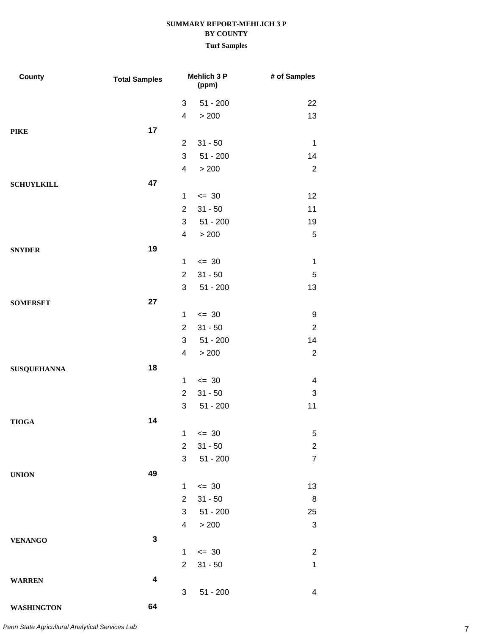#### **Turf Samples**

| County             | <b>Total Samples</b>    |                | Mehlich 3 P<br>(ppm) | # of Samples            |
|--------------------|-------------------------|----------------|----------------------|-------------------------|
|                    |                         | 3              | $51 - 200$           | 22                      |
|                    |                         | $\overline{4}$ | > 200                | 13                      |
| <b>PIKE</b>        | 17                      |                |                      |                         |
|                    |                         | $\overline{2}$ | $31 - 50$            | 1                       |
|                    |                         | 3              | $51 - 200$           | 14                      |
|                    |                         | 4              | > 200                | $\overline{2}$          |
| <b>SCHUYLKILL</b>  | 47                      |                |                      |                         |
|                    |                         | $\mathbf{1}$   | $\leq$ 30            | 12                      |
|                    |                         | $\overline{2}$ | $31 - 50$            | 11                      |
|                    |                         | 3              | $51 - 200$           | 19                      |
|                    |                         | $\overline{4}$ | > 200                | $\mathbf 5$             |
| <b>SNYDER</b>      | 19                      |                |                      |                         |
|                    |                         | $\mathbf{1}$   | $\leq$ 30            | $\mathbf 1$             |
|                    |                         | $\overline{2}$ | $31 - 50$            | $\mathbf 5$             |
|                    |                         | 3              | $51 - 200$           | 13                      |
| <b>SOMERSET</b>    | 27                      |                |                      |                         |
|                    |                         | $\mathbf{1}$   | $\leq$ 30            | 9                       |
|                    |                         | $\overline{2}$ | $31 - 50$            | $\overline{2}$          |
|                    |                         | 3              | $51 - 200$           | 14                      |
|                    |                         | $\overline{4}$ | > 200                | $\overline{2}$          |
| <b>SUSQUEHANNA</b> | 18                      |                |                      |                         |
|                    |                         | 1              | $\leq$ 30            | $\overline{\mathbf{4}}$ |
|                    |                         | $\overline{2}$ | $31 - 50$            | 3                       |
|                    |                         | 3              | $51 - 200$           | 11                      |
| <b>TIOGA</b>       | 14                      |                |                      |                         |
|                    |                         | 1              | $\leq$ 30            | 5                       |
|                    |                         | $\overline{2}$ | $31 - 50$            | $\overline{c}$          |
|                    |                         | 3              | $51 - 200$           | $\overline{7}$          |
| <b>UNION</b>       | 49                      |                |                      |                         |
|                    |                         | 1              | $\leq$ 30            | 13                      |
|                    |                         | $\overline{2}$ | $31 - 50$            | 8                       |
|                    |                         | 3 <sup>1</sup> | 51 - 200             | 25                      |
|                    |                         | $\overline{4}$ | > 200                | $\sqrt{3}$              |
| <b>VENANGO</b>     | $\mathbf 3$             |                |                      |                         |
|                    |                         | $\mathbf{1}$   | $\leq$ 30            | $\overline{2}$          |
|                    |                         | $\overline{2}$ | $31 - 50$            | $\mathbf{1}$            |
| <b>WARREN</b>      | $\overline{\mathbf{4}}$ |                |                      |                         |
|                    |                         | 3              | $51 - 200$           | $\overline{4}$          |
| <b>WASHINGTON</b>  | 64                      |                |                      |                         |

7 *Penn State Agricultural Analytical Services Lab*